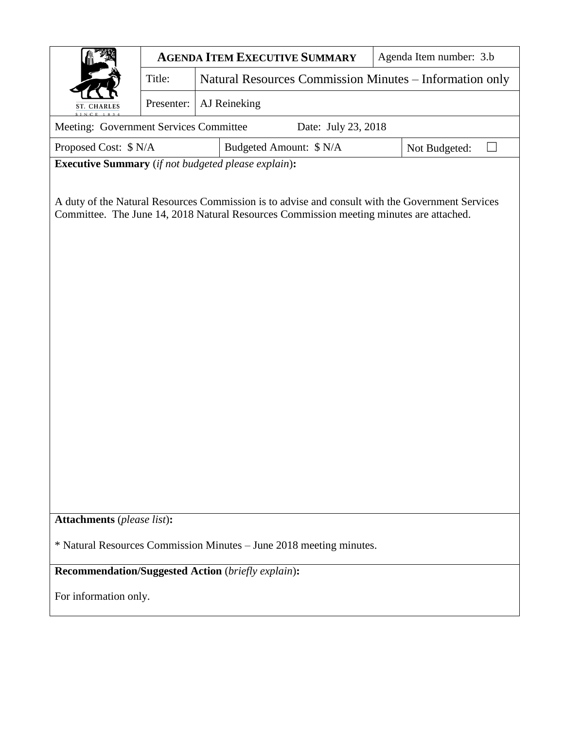|                                                                                                                                                                                             | <b>AGENDA ITEM EXECUTIVE SUMMARY</b> |                                                         |                         |  |  | Agenda Item number: 3.b |  |  |
|---------------------------------------------------------------------------------------------------------------------------------------------------------------------------------------------|--------------------------------------|---------------------------------------------------------|-------------------------|--|--|-------------------------|--|--|
|                                                                                                                                                                                             | Title:                               | Natural Resources Commission Minutes - Information only |                         |  |  |                         |  |  |
| <b>ST. CHARLES</b>                                                                                                                                                                          | Presenter:                           | AJ Reineking                                            |                         |  |  |                         |  |  |
| Meeting: Government Services Committee<br>Date: July 23, 2018                                                                                                                               |                                      |                                                         |                         |  |  |                         |  |  |
| Proposed Cost: \$ N/A                                                                                                                                                                       |                                      |                                                         | Budgeted Amount: \$ N/A |  |  | Not Budgeted:           |  |  |
| <b>Executive Summary</b> (if not budgeted please explain):                                                                                                                                  |                                      |                                                         |                         |  |  |                         |  |  |
| A duty of the Natural Resources Commission is to advise and consult with the Government Services<br>Committee. The June 14, 2018 Natural Resources Commission meeting minutes are attached. |                                      |                                                         |                         |  |  |                         |  |  |
| <b>Attachments</b> (please list):                                                                                                                                                           |                                      |                                                         |                         |  |  |                         |  |  |
| * Natural Resources Commission Minutes – June 2018 meeting minutes.                                                                                                                         |                                      |                                                         |                         |  |  |                         |  |  |
| <b>Recommendation/Suggested Action (briefly explain):</b>                                                                                                                                   |                                      |                                                         |                         |  |  |                         |  |  |
| For information only.                                                                                                                                                                       |                                      |                                                         |                         |  |  |                         |  |  |
|                                                                                                                                                                                             |                                      |                                                         |                         |  |  |                         |  |  |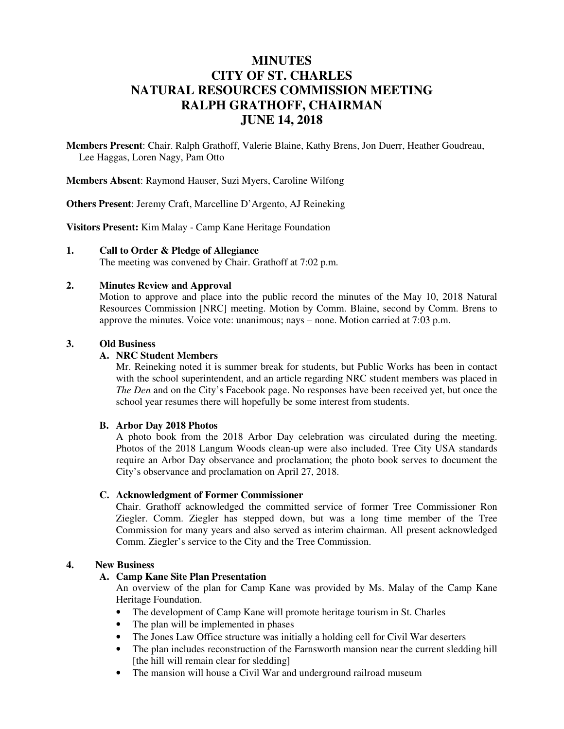# **MINUTES CITY OF ST. CHARLES NATURAL RESOURCES COMMISSION MEETING RALPH GRATHOFF, CHAIRMAN JUNE 14, 2018**

**Members Present**: Chair. Ralph Grathoff, Valerie Blaine, Kathy Brens, Jon Duerr, Heather Goudreau, Lee Haggas, Loren Nagy, Pam Otto

**Members Absent**: Raymond Hauser, Suzi Myers, Caroline Wilfong

**Others Present**: Jeremy Craft, Marcelline D'Argento, AJ Reineking

**Visitors Present:** Kim Malay - Camp Kane Heritage Foundation

#### **1. Call to Order & Pledge of Allegiance**

The meeting was convened by Chair. Grathoff at 7:02 p.m.

#### **2. Minutes Review and Approval**

Motion to approve and place into the public record the minutes of the May 10, 2018 Natural Resources Commission [NRC] meeting. Motion by Comm. Blaine, second by Comm. Brens to approve the minutes. Voice vote: unanimous; nays – none. Motion carried at 7:03 p.m.

# **3. Old Business**

# **A. NRC Student Members**

Mr. Reineking noted it is summer break for students, but Public Works has been in contact with the school superintendent, and an article regarding NRC student members was placed in *The Den* and on the City's Facebook page. No responses have been received yet, but once the school year resumes there will hopefully be some interest from students.

# **B. Arbor Day 2018 Photos**

A photo book from the 2018 Arbor Day celebration was circulated during the meeting. Photos of the 2018 Langum Woods clean-up were also included. Tree City USA standards require an Arbor Day observance and proclamation; the photo book serves to document the City's observance and proclamation on April 27, 2018.

# **C. Acknowledgment of Former Commissioner**

Chair. Grathoff acknowledged the committed service of former Tree Commissioner Ron Ziegler. Comm. Ziegler has stepped down, but was a long time member of the Tree Commission for many years and also served as interim chairman. All present acknowledged Comm. Ziegler's service to the City and the Tree Commission.

# **4. New Business**

# **A. Camp Kane Site Plan Presentation**

An overview of the plan for Camp Kane was provided by Ms. Malay of the Camp Kane Heritage Foundation.

- The development of Camp Kane will promote heritage tourism in St. Charles
- The plan will be implemented in phases
- The Jones Law Office structure was initially a holding cell for Civil War deserters
- The plan includes reconstruction of the Farnsworth mansion near the current sledding hill [the hill will remain clear for sledding]
- The mansion will house a Civil War and underground railroad museum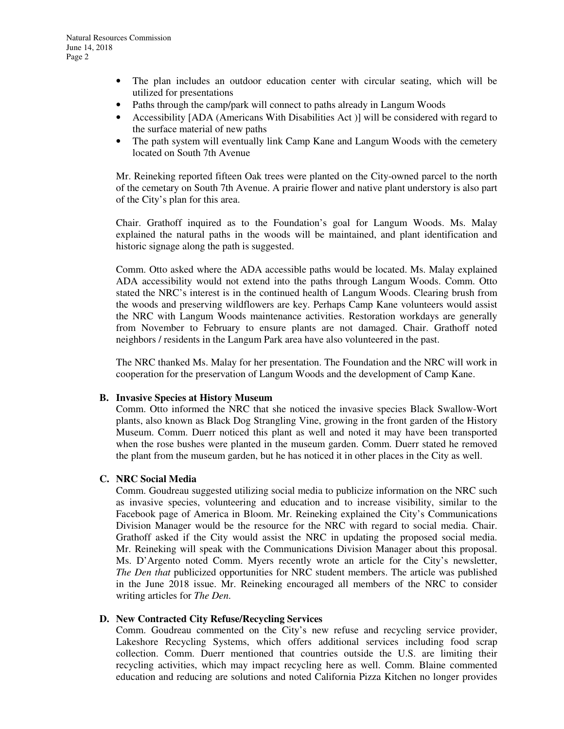- The plan includes an outdoor education center with circular seating, which will be utilized for presentations
- Paths through the camp/park will connect to paths already in Langum Woods
- Accessibility [ADA (Americans With Disabilities Act)] will be considered with regard to the surface material of new paths
- The path system will eventually link Camp Kane and Langum Woods with the cemetery located on South 7th Avenue

Mr. Reineking reported fifteen Oak trees were planted on the City-owned parcel to the north of the cemetary on South 7th Avenue. A prairie flower and native plant understory is also part of the City's plan for this area.

Chair. Grathoff inquired as to the Foundation's goal for Langum Woods. Ms. Malay explained the natural paths in the woods will be maintained, and plant identification and historic signage along the path is suggested.

Comm. Otto asked where the ADA accessible paths would be located. Ms. Malay explained ADA accessibility would not extend into the paths through Langum Woods. Comm. Otto stated the NRC's interest is in the continued health of Langum Woods. Clearing brush from the woods and preserving wildflowers are key. Perhaps Camp Kane volunteers would assist the NRC with Langum Woods maintenance activities. Restoration workdays are generally from November to February to ensure plants are not damaged. Chair. Grathoff noted neighbors / residents in the Langum Park area have also volunteered in the past.

The NRC thanked Ms. Malay for her presentation. The Foundation and the NRC will work in cooperation for the preservation of Langum Woods and the development of Camp Kane.

# **B. Invasive Species at History Museum**

Comm. Otto informed the NRC that she noticed the invasive species Black Swallow-Wort plants, also known as Black Dog Strangling Vine, growing in the front garden of the History Museum. Comm. Duerr noticed this plant as well and noted it may have been transported when the rose bushes were planted in the museum garden. Comm. Duerr stated he removed the plant from the museum garden, but he has noticed it in other places in the City as well.

# **C. NRC Social Media**

Comm. Goudreau suggested utilizing social media to publicize information on the NRC such as invasive species, volunteering and education and to increase visibility, similar to the Facebook page of America in Bloom. Mr. Reineking explained the City's Communications Division Manager would be the resource for the NRC with regard to social media. Chair. Grathoff asked if the City would assist the NRC in updating the proposed social media. Mr. Reineking will speak with the Communications Division Manager about this proposal. Ms. D'Argento noted Comm. Myers recently wrote an article for the City's newsletter, *The Den that* publicized opportunities for NRC student members. The article was published in the June 2018 issue. Mr. Reineking encouraged all members of the NRC to consider writing articles for *The Den*.

#### **D. New Contracted City Refuse/Recycling Services**

Comm. Goudreau commented on the City's new refuse and recycling service provider, Lakeshore Recycling Systems, which offers additional services including food scrap collection. Comm. Duerr mentioned that countries outside the U.S. are limiting their recycling activities, which may impact recycling here as well. Comm. Blaine commented education and reducing are solutions and noted California Pizza Kitchen no longer provides